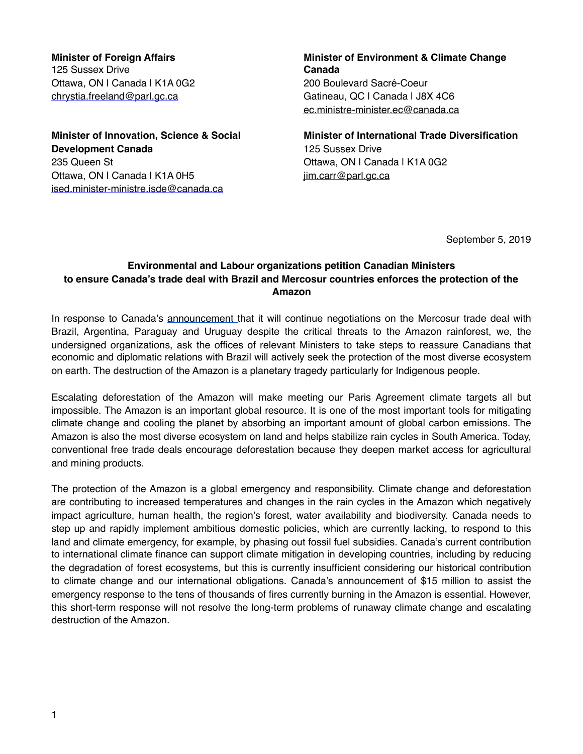**Minister of Foreign Affairs**  125 Sussex Drive Ottawa, ON | Canada | K1A 0G2 [chrystia.freeland@parl.gc.ca](mailto:chrystia.Freeland@parl.gc.ca)

**Minister of Innovation, Science & Social Development Canada** 235 Queen St Ottawa, ON | Canada | K1A 0H5 [ised.minister-ministre.isde@canada.ca](mailto:ised.minister-ministre.isde@canada.ca)

**Minister of Environment & Climate Change Canada** 200 Boulevard Sacré-Coeur Gatineau, QC | Canada | J8X 4C6 [ec.ministre-minister.ec@canada.ca](mailto:ec.ministre-minister.ec@canada.ca)

**Minister of International Trade Diversification** 125 Sussex Drive Ottawa, ON | Canada | K1A 0G2 [jim.carr@parl.gc.ca](mailto:jim.Carr@parl.gc.ca)

September 5, 2019

## **Environmental and Labour organizations petition Canadian Ministers to ensure Canada's trade deal with Brazil and Mercosur countries enforces the protection of the Amazon**

In response to Canada's [announcement](https://www.cbc.ca/news/politics/mercosur-negotiation-canada-tuesday-1.5260998) that it will continue negotiations on the Mercosur trade deal with Brazil, Argentina, Paraguay and Uruguay despite the critical threats to the Amazon rainforest, we, the undersigned organizations, ask the offices of relevant Ministers to take steps to reassure Canadians that economic and diplomatic relations with Brazil will actively seek the protection of the most diverse ecosystem on earth. The destruction of the Amazon is a planetary tragedy particularly for Indigenous people.

Escalating deforestation of the Amazon will make meeting our Paris Agreement climate targets all but impossible. The Amazon is an important global resource. It is one of the most important tools for mitigating climate change and cooling the planet by absorbing an important amount of global carbon emissions. The Amazon is also the most diverse ecosystem on land and helps stabilize rain cycles in South America. Today, conventional free trade deals encourage deforestation because they deepen market access for agricultural and mining products.

The protection of the Amazon is a global emergency and responsibility. Climate change and deforestation are contributing to increased temperatures and changes in the rain cycles in the Amazon which negatively impact agriculture, human health, the region's forest, water availability and biodiversity. Canada needs to step up and rapidly implement ambitious domestic policies, which are currently lacking, to respond to this land and climate emergency, for example, by phasing out fossil fuel subsidies. Canada's current contribution to international climate finance can support climate mitigation in developing countries, including by reducing the degradation of forest ecosystems, but this is currently insufficient considering our historical contribution to climate change and our international obligations. Canada's announcement of \$15 million to assist the emergency response to the tens of thousands of fires currently burning in the Amazon is essential. However, this short-term response will not resolve the long-term problems of runaway climate change and escalating destruction of the Amazon.